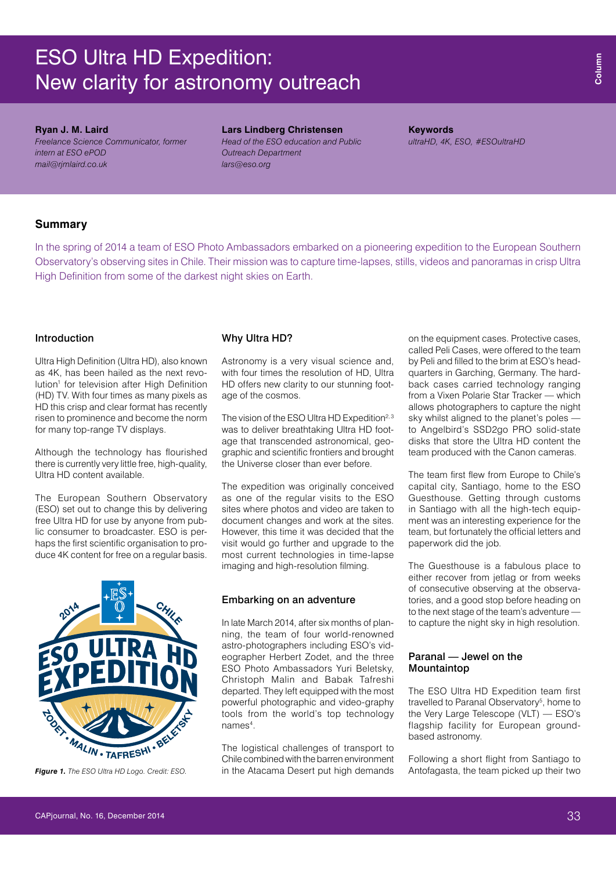# ESO Ultra HD Expedition: New clarity for astronomy outreach

## **Ryan J. M. Laird**

*Freelance Science Communicator, former intern at ESO ePOD [mail@rjmlaird.co.uk](mailto:mail@rjmlaird.co.uk)*

#### **Lars Lindberg Christensen**

*Head of the ESO education and Public Outreach Department [lars@eso.org](mailto:lars@eso.org)*

**Keywords** *ultraHD, 4K, ESO, #ESOultraHD*

# **Summary**

In the spring of 2014 a team of ESO Photo Ambassadors embarked on a pioneering expedition to the European Southern Observatory's observing sites in Chile. Their mission was to capture time-lapses, stills, videos and panoramas in crisp Ultra High Definition from some of the darkest night skies on Earth.

# Introduction

Ultra High Definition (Ultra HD), also known as 4K, has been hailed as the next revolution<sup>1</sup> for television after High Definition (HD) TV. With four times as many pixels as HD this crisp and clear format has recently risen to prominence and become the norm for many top-range TV displays.

Although the technology has flourished there is currently very little free, high-quality, Ultra HD content available.

The European Southern Observatory (ESO) set out to change this by delivering free Ultra HD for use by anyone from public consumer to broadcaster. ESO is perhaps the first scientific organisation to produce 4K content for free on a regular basis.



*Figure 1. The ESO Ultra HD Logo. Credit: ESO.*

#### Why Ultra HD?

Astronomy is a very visual science and, with four times the resolution of HD, Ultra HD offers new clarity to our stunning footage of the cosmos.

The vision of the ESO Ultra HD Expedition<sup>2, 3</sup> was to deliver breathtaking Ultra HD footage that transcended astronomical, geographic and scientific frontiers and brought the Universe closer than ever before.

The expedition was originally conceived as one of the regular visits to the ESO sites where photos and video are taken to document changes and work at the sites. However, this time it was decided that the visit would go further and upgrade to the most current technologies in time-lapse imaging and high-resolution filming.

# Embarking on an adventure

In late March 2014, after six months of planning, the team of four world-renowned astro-photographers including ESO's videographer Herbert Zodet, and the three ESO Photo Ambassadors Yuri Beletsky, Christoph Malin and Babak Tafreshi departed. They left equipped with the most powerful photographic and video-graphy tools from the world's top technology names<sup>4</sup>.

The logistical challenges of transport to Chile combined with the barren environment in the Atacama Desert put high demands on the equipment cases. Protective cases, called Peli Cases, were offered to the team by Peli and filled to the brim at ESO's headquarters in Garching, Germany. The hardback cases carried technology ranging from a Vixen Polarie Star Tracker — which allows photographers to capture the night sky whilst aligned to the planet's poles to Angelbird's SSD2go PRO solid-state disks that store the Ultra HD content the team produced with the Canon cameras.

The team first flew from Europe to Chile's capital city, Santiago, home to the ESO Guesthouse. Getting through customs in Santiago with all the high-tech equipment was an interesting experience for the team, but fortunately the official letters and paperwork did the job.

The Guesthouse is a fabulous place to either recover from jetlag or from weeks of consecutive observing at the observatories, and a good stop before heading on to the next stage of the team's adventure to capture the night sky in high resolution.

# Paranal — Jewel on the Mountaintop

The ESO Ultra HD Expedition team first travelled to Paranal Observatory<sup>5</sup>, home to the Very Large Telescope (VLT) — ESO's flagship facility for European groundbased astronomy.

Following a short flight from Santiago to Antofagasta, the team picked up their two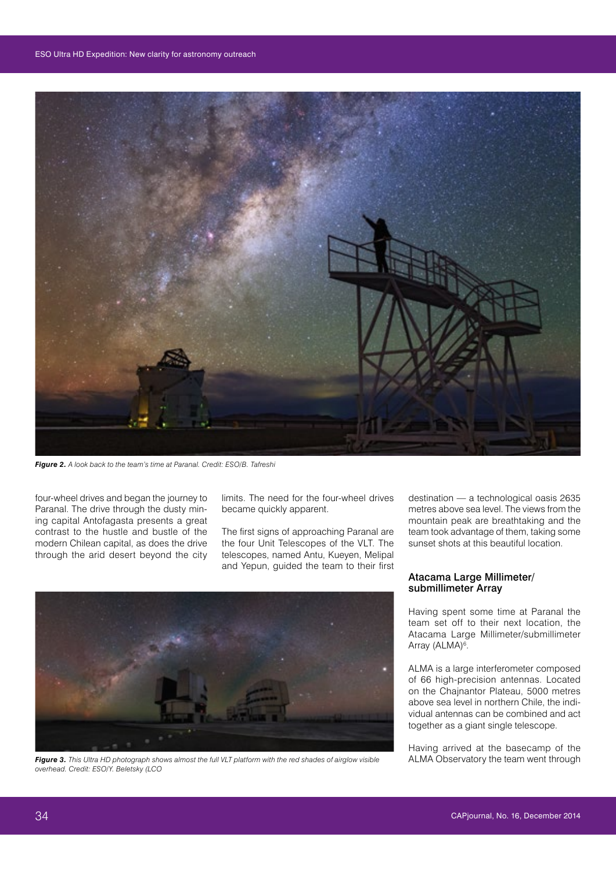

*Figure 2. A look back to the team's time at Paranal. Credit: ESO/B. Tafreshi*

four-wheel drives and began the journey to Paranal. The drive through the dusty mining capital Antofagasta presents a great contrast to the hustle and bustle of the modern Chilean capital, as does the drive through the arid desert beyond the city

limits. The need for the four-wheel drives became quickly apparent.

The first signs of approaching Paranal are the four Unit Telescopes of the VLT. The telescopes, named Antu, Kueyen, Melipal and Yepun, guided the team to their first



*Figure 3. This Ultra HD photograph shows almost the full VLT platform with the red shades of airglow visible overhead. Credit: ESO/Y. Beletsky (LCO*

destination — a technological oasis 2635 metres above sea level. The views from the mountain peak are breathtaking and the team took advantage of them, taking some sunset shots at this beautiful location.

# Atacama Large Millimeter/ submillimeter Array

Having spent some time at Paranal the team set off to their next location, the Atacama Large Millimeter/submillimeter Array (ALMA)<sup>6</sup>.

ALMA is a large interferometer composed of 66 high-precision antennas. Located on the Chajnantor Plateau, 5000 metres above sea level in northern Chile, the individual antennas can be combined and act together as a giant single telescope.

Having arrived at the basecamp of the ALMA Observatory the team went through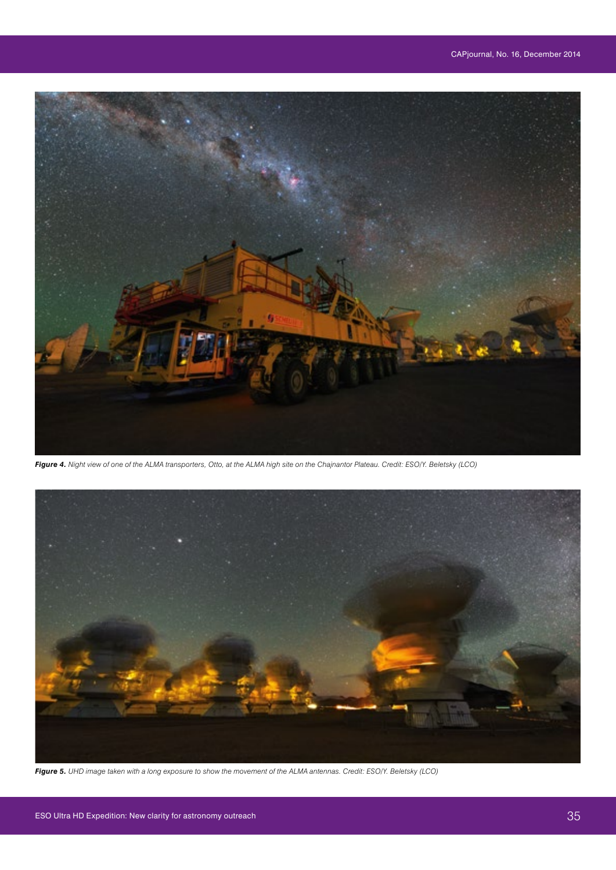

*Figure 4. Night view of one of the ALMA transporters, Otto, at the ALMA high site on the Chajnantor Plateau. Credit: ESO/Y. Beletsky (LCO)*



*Figure 5. UHD image taken with a long exposure to show the movement of the ALMA antennas. Credit: ESO/Y. Beletsky (LCO)*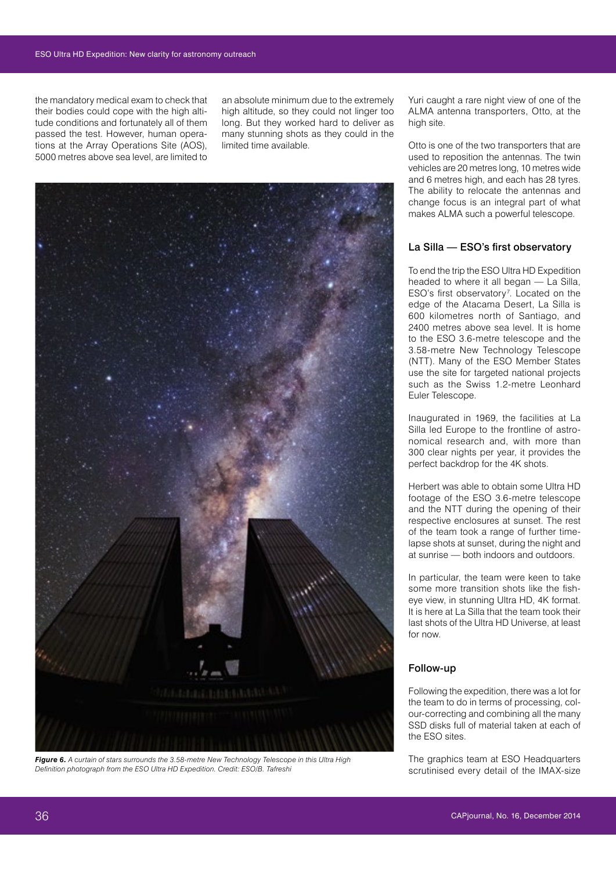the mandatory medical exam to check that their bodies could cope with the high altitude conditions and fortunately all of them passed the test. However, human operations at the Array Operations Site (AOS), 5000 metres above sea level, are limited to

an absolute minimum due to the extremely high altitude, so they could not linger too long. But they worked hard to deliver as many stunning shots as they could in the limited time available.



*Figure 6. A curtain of stars surrounds the 3.58-metre New Technology Telescope in this Ultra High Definition photograph from the ESO Ultra HD Expedition. Credit: ESO/B. Tafreshi* 

Yuri caught a rare night view of one of the ALMA antenna transporters, Otto, at the high site.

Otto is one of the two transporters that are used to reposition the antennas. The twin vehicles are 20 metres long, 10 metres wide and 6 metres high, and each has 28 tyres. The ability to relocate the antennas and change focus is an integral part of what makes ALMA such a powerful telescope.

# La Silla — ESO's first observatory

To end the trip the ESO Ultra HD Expedition headed to where it all began — La Silla,  $ESO's$  first observatory<sup>7</sup>. Located on the edge of the Atacama Desert, La Silla is 600 kilometres north of Santiago, and 2400 metres above sea level. It is home to the ESO 3.6-metre telescope and the 3.58-metre New Technology Telescope (NTT). Many of the ESO Member States use the site for targeted national projects such as the Swiss 1.2-metre Leonhard Euler Telescope.

Inaugurated in 1969, the facilities at La Silla led Europe to the frontline of astronomical research and, with more than 300 clear nights per year, it provides the perfect backdrop for the 4K shots.

Herbert was able to obtain some Ultra HD footage of the ESO 3.6-metre telescope and the NTT during the opening of their respective enclosures at sunset. The rest of the team took a range of further timelapse shots at sunset, during the night and at sunrise — both indoors and outdoors.

In particular, the team were keen to take some more transition shots like the fisheye view, in stunning Ultra HD, 4K format. It is here at La Silla that the team took their last shots of the Ultra HD Universe, at least for now.

# Follow-up

Following the expedition, there was a lot for the team to do in terms of processing, colour-correcting and combining all the many SSD disks full of material taken at each of the ESO sites.

The graphics team at ESO Headquarters scrutinised every detail of the IMAX-size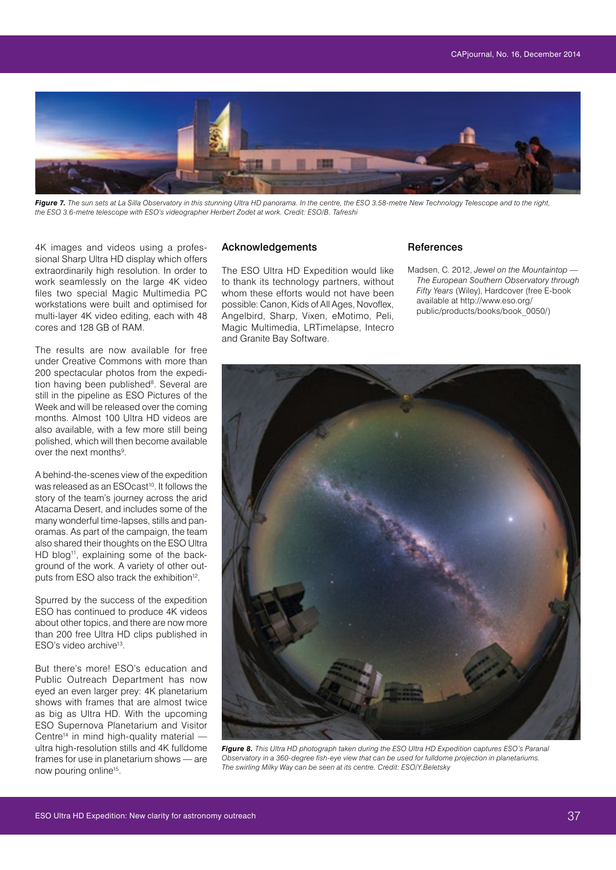

Figure 7. The sun sets at La Silla Observatory in this stunning Ultra HD panorama. In the centre, the ESO 3.58-metre New Technology Telescope and to the right, *the ESO 3.6-metre telescope with ESO's videographer Herbert Zodet at work. Credit: ESO/B. Tafreshi* 

4K images and videos using a professional Sharp Ultra HD display which offers extraordinarily high resolution. In order to work seamlessly on the large 4K video files two special Magic Multimedia PC workstations were built and optimised for multi-layer 4K video editing, each with 48 cores and 128 GB of RAM.

The results are now available for free under Creative Commons with more than 200 spectacular photos from the expedition having been published<sup>8</sup>. Several are still in the pipeline as ESO Pictures of the Week and will be released over the coming months. Almost 100 Ultra HD videos are also available, with a few more still being polished, which will then become available over the next months<sup>9</sup>.

A behind-the-scenes view of the expedition was released as an ESOcast<sup>10</sup>. It follows the story of the team's journey across the arid Atacama Desert, and includes some of the many wonderful time-lapses, stills and panoramas. As part of the campaign, the team also shared their thoughts on the ESO Ultra HD blog<sup>11</sup>, explaining some of the background of the work. A variety of other outputs from ESO also track the exhibition<sup>12</sup>.

Spurred by the success of the expedition ESO has continued to produce 4K videos about other topics, and there are now more than 200 free Ultra HD clips published in ESO's video archive<sup>13</sup>.

But there's more! ESO's education and Public Outreach Department has now eyed an even larger prey: 4K planetarium shows with frames that are almost twice as big as Ultra HD. With the upcoming ESO Supernova Planetarium and Visitor Centre<sup>14</sup> in mind high-quality material  $$ ultra high-resolution stills and 4K fulldome frames for use in planetarium shows — are now pouring online<sup>15</sup>.

# Acknowledgements

The ESO Ultra HD Expedition would like to thank its technology partners, without whom these efforts would not have been possible: Canon, Kids of All Ages, Novoflex, Angelbird, Sharp, Vixen, eMotimo, Peli, Magic Multimedia, LRTimelapse, Intecro and Granite Bay Software.

## **References**

Madsen, C. 2012, *Jewel on the Mountaintop — The European Southern Observatory through Fifty Years* (Wiley), Hardcover (free E-book available at [http://www.eso.org](http://www.eso.org/public/products/books/book_0050/)/ public/products/books/book\_0050/)



*Figure 8. This Ultra HD photograph taken during the ESO Ultra HD Expedition captures ESO's Paranal Observatory in a 360-degree fish-eye view that can be used for fulldome projection in planetariums. The swirling Milky Way can be seen at its centre. Credit: ESO/Y.Beletsky*